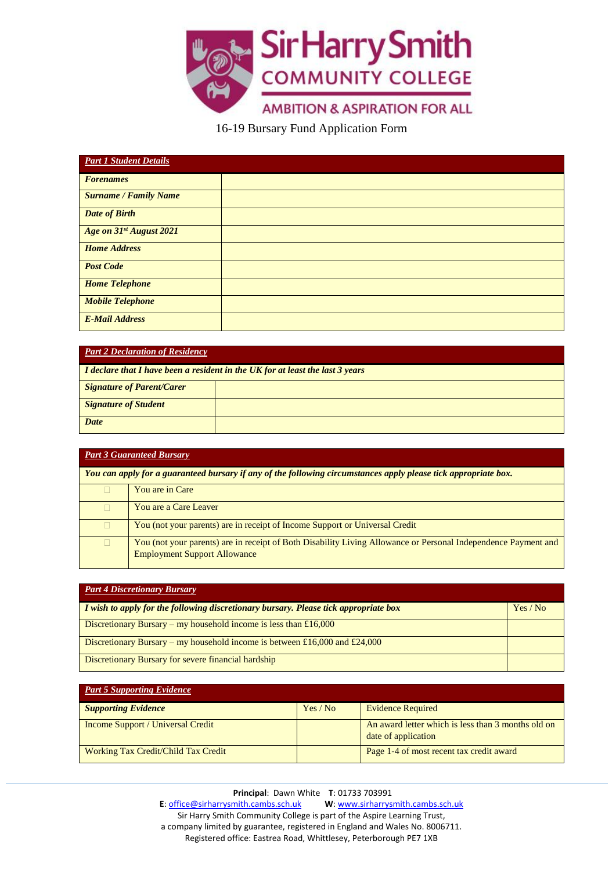

16-19 Bursary Fund Application Form

| <b>Part 1 Student Details</b> |  |
|-------------------------------|--|
| <b>Forenames</b>              |  |
| <b>Surname / Family Name</b>  |  |
| <b>Date of Birth</b>          |  |
| Age on 31st August 2021       |  |
| <b>Home Address</b>           |  |
| <b>Post Code</b>              |  |
| <b>Home Telephone</b>         |  |
| <b>Mobile Telephone</b>       |  |
| <b>E-Mail Address</b>         |  |

| <b>Part 2 Declaration of Residency</b>                                        |  |  |
|-------------------------------------------------------------------------------|--|--|
| I declare that I have been a resident in the UK for at least the last 3 years |  |  |
| <b>Signature of Parent/Carer</b>                                              |  |  |
| <b>Signature of Student</b>                                                   |  |  |
| Date                                                                          |  |  |

| <b>Part 3 Guaranteed Bursary</b>                                                                                |                                                                                                                |  |
|-----------------------------------------------------------------------------------------------------------------|----------------------------------------------------------------------------------------------------------------|--|
| You can apply for a guaranteed bursary if any of the following circumstances apply please tick appropriate box. |                                                                                                                |  |
|                                                                                                                 | You are in Care                                                                                                |  |
|                                                                                                                 | You are a Care Leaver                                                                                          |  |
|                                                                                                                 | You (not your parents) are in receipt of Income Support or Universal Credit                                    |  |
|                                                                                                                 | You (not your parents) are in receipt of Both Disability Living Allowance or Personal Independence Payment and |  |
|                                                                                                                 | <b>Employment Support Allowance</b>                                                                            |  |

| <b>Part 4 Discretionary Bursary</b>                                                  |        |
|--------------------------------------------------------------------------------------|--------|
| I wish to apply for the following discretionary bursary. Please tick appropriate box | Yes/No |
| Discretionary Bursary – my household income is less than £16,000                     |        |
| Discretionary Bursary – my household income is between £16,000 and £24,000           |        |
| Discretionary Bursary for severe financial hardship                                  |        |

| <b>Part 5 Supporting Evidence</b>   |          |                                                                           |
|-------------------------------------|----------|---------------------------------------------------------------------------|
| <b>Supporting Evidence</b>          | Yes / No | <b>Evidence Required</b>                                                  |
| Income Support / Universal Credit   |          | An award letter which is less than 3 months old on<br>date of application |
| Working Tax Credit/Child Tax Credit |          | Page 1-4 of most recent tax credit award                                  |

**Principal**: Dawn White **T**: 01733 703991 **E**[: office@sirharrysmith.cambs.sch.uk](mailto:office@sirharrysmith.cambs.sch.uk) **W**[: www.sirharrysmith.cambs.sch.uk](http://www.sirharrysmith.cambs.sch.uk/) Sir Harry Smith Community College is part of the Aspire Learning Trust, a company limited by guarantee, registered in England and Wales No. 8006711. Registered office: Eastrea Road, Whittlesey, Peterborough PE7 1XB